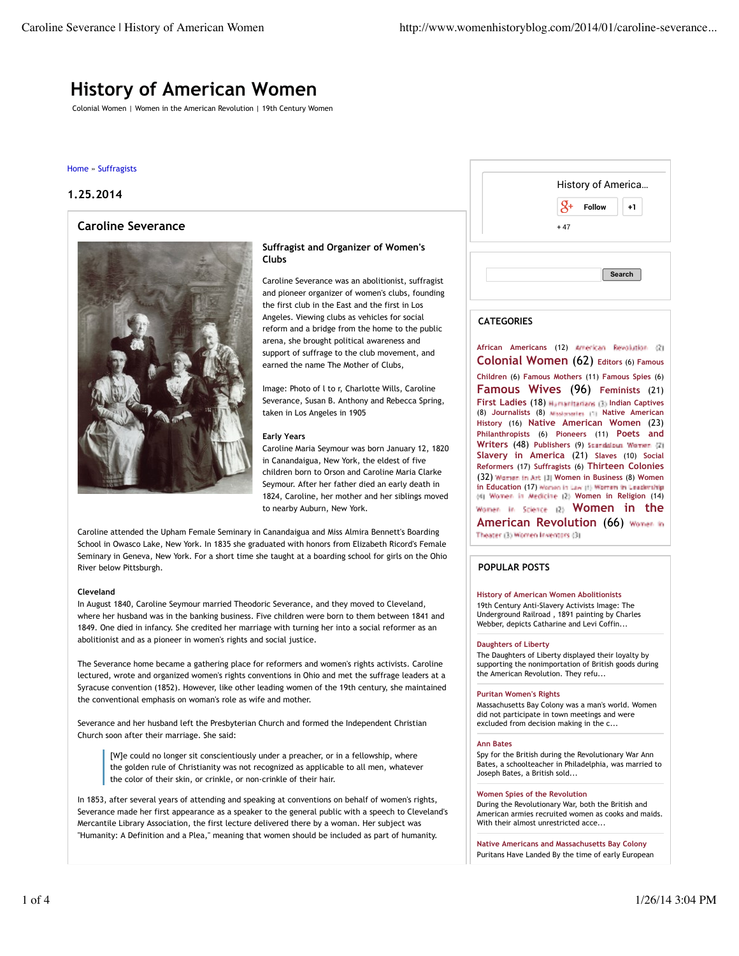# **History of American Women**

Colonial Women | Women in the American Revolution | 19th Century Women

### Home » Suffragists

# **1.25.2014**

# **Caroline Severance**



## **Suffragist and Organizer of Women's Clubs**

Caroline Severance was an abolitionist, suffragist and pioneer organizer of women's clubs, founding the first club in the East and the first in Los Angeles. Viewing clubs as vehicles for social reform and a bridge from the home to the public arena, she brought political awareness and support of suffrage to the club movement, and earned the name The Mother of Clubs,

Image: Photo of l to r, Charlotte Wills, Caroline Severance, Susan B. Anthony and Rebecca Spring, taken in Los Angeles in 1905

#### **Early Years**

Caroline Maria Seymour was born January 12, 1820 in Canandaigua, New York, the eldest of five children born to Orson and Caroline Maria Clarke Seymour. After her father died an early death in 1824, Caroline, her mother and her siblings moved to nearby Auburn, New York.

Caroline attended the Upham Female Seminary in Canandaigua and Miss Almira Bennett's Boarding School in Owasco Lake, New York. In 1835 she graduated with honors from Elizabeth Ricord's Female Seminary in Geneva, New York. For a short time she taught at a boarding school for girls on the Ohio River below Pittsburgh.

#### **Cleveland**

In August 1840, Caroline Seymour married Theodoric Severance, and they moved to Cleveland, where her husband was in the banking business. Five children were born to them between 1841 and 1849. One died in infancy. She credited her marriage with turning her into a social reformer as an abolitionist and as a pioneer in women's rights and social justice.

The Severance home became a gathering place for reformers and women's rights activists. Caroline lectured, wrote and organized women's rights conventions in Ohio and met the suffrage leaders at a Syracuse convention (1852). However, like other leading women of the 19th century, she maintained the conventional emphasis on woman's role as wife and mother.

Severance and her husband left the Presbyterian Church and formed the Independent Christian Church soon after their marriage. She said:

[W]e could no longer sit conscientiously under a preacher, or in a fellowship, where the golden rule of Christianity was not recognized as applicable to all men, whatever the color of their skin, or crinkle, or non-crinkle of their hair.

In 1853, after several years of attending and speaking at conventions on behalf of women's rights, Severance made her first appearance as a speaker to the general public with a speech to Cleveland's Mercantile Library Association, the first lecture delivered there by a woman. Her subject was "Humanity: A Definition and a Plea," meaning that women should be included as part of humanity.

| $\mathcal{S}^+$<br>Follow<br>$+47$ | $+1$   |
|------------------------------------|--------|
|                                    |        |
|                                    |        |
|                                    |        |
|                                    |        |
|                                    | Search |
|                                    |        |

## **CATEGORIES**

**African Americans** (12) **Colonial Women** (62) **Editors** (6) **Famous Children** (6) **Famous Mothers** (11) **Famous Spies** (6) **Famous Wives** (96) **Feminists** (21) **First Ladies** (18) **Humanitarians** (3) Indian Captives (8) **Journalists** (8) **Native American History** (16) **Native American Women** (23) **Philanthropists** (6) **Pioneers** (11) **Poets and Writers** (48) **Publishers** (9) **Slavery in America** (21) **Slaves** (10) **Social Reformers** (17) **Suffragists** (6) **Thirteen Colonies** (32) **Women in Business** (8) **Women in Education** (17) Women in Law (1) Women in Leadership **Women in Religion** (14) Women in Science (2) **Women in the American Revolution** (66) Theater (3) Women Inventors (3)

## **POPULAR POSTS**

## **History of American Women Abolitionists**

19th Century Anti-Slavery Activists Image: The Underground Railroad , 1891 painting by Charles Webber, depicts Catharine and Levi Coffin...

#### **Daughters of Liberty**

The Daughters of Liberty displayed their loyalty by supporting the nonimportation of British goods during the American Revolution. They refu...

#### **Puritan Women's Rights**

Massachusetts Bay Colony was a man's world. Women did not participate in town meetings and were excluded from decision making in the c...

#### **Ann Bates**

Spy for the British during the Revolutionary War Ann Bates, a schoolteacher in Philadelphia, was married to Joseph Bates, a British sold...

#### **Women Spies of the Revolution**

During the Revolutionary War, both the British and American armies recruited women as cooks and maids. With their almost unrestricted acce...

**Native Americans and Massachusetts Bay Colony** Puritans Have Landed By the time of early European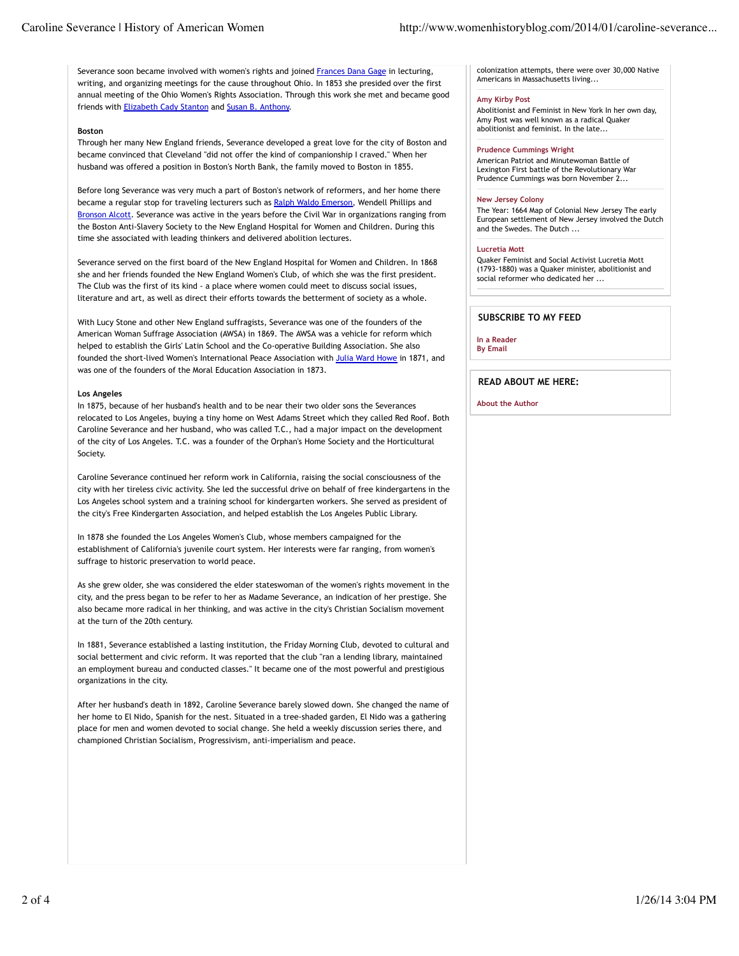Severance soon became involved with women's rights and joined Frances Dana Gage in lecturing, writing, and organizing meetings for the cause throughout Ohio. In 1853 she presided over the first annual meeting of the Ohio Women's Rights Association. Through this work she met and became good friends with Elizabeth Cady Stanton and Susan B. Anthony.

## **Boston**

Through her many New England friends, Severance developed a great love for the city of Boston and became convinced that Cleveland "did not offer the kind of companionship I craved." When her husband was offered a position in Boston's North Bank, the family moved to Boston in 1855.

Before long Severance was very much a part of Boston's network of reformers, and her home there became a regular stop for traveling lecturers such as Ralph Waldo Emerson, Wendell Phillips and Bronson Alcott. Severance was active in the years before the Civil War in organizations ranging from the Boston Anti-Slavery Society to the New England Hospital for Women and Children. During this time she associated with leading thinkers and delivered abolition lectures.

Severance served on the first board of the New England Hospital for Women and Children. In 1868 she and her friends founded the New England Women's Club, of which she was the first president. The Club was the first of its kind - a place where women could meet to discuss social issues, literature and art, as well as direct their efforts towards the betterment of society as a whole.

With Lucy Stone and other New England suffragists, Severance was one of the founders of the American Woman Suffrage Association (AWSA) in 1869. The AWSA was a vehicle for reform which helped to establish the Girls' Latin School and the Co-operative Building Association. She also founded the short-lived Women's International Peace Association with Julia Ward Howe in 1871, and was one of the founders of the Moral Education Association in 1873.

# **Los Angeles**

In 1875, because of her husband's health and to be near their two older sons the Severances relocated to Los Angeles, buying a tiny home on West Adams Street which they called Red Roof. Both Caroline Severance and her husband, who was called T.C., had a major impact on the development of the city of Los Angeles. T.C. was a founder of the Orphan's Home Society and the Horticultural Society.

Caroline Severance continued her reform work in California, raising the social consciousness of the city with her tireless civic activity. She led the successful drive on behalf of free kindergartens in the Los Angeles school system and a training school for kindergarten workers. She served as president of the city's Free Kindergarten Association, and helped establish the Los Angeles Public Library.

In 1878 she founded the Los Angeles Women's Club, whose members campaigned for the establishment of California's juvenile court system. Her interests were far ranging, from women's suffrage to historic preservation to world peace.

As she grew older, she was considered the elder stateswoman of the women's rights movement in the city, and the press began to be refer to her as Madame Severance, an indication of her prestige. She also became more radical in her thinking, and was active in the city's Christian Socialism movement at the turn of the 20th century.

In 1881, Severance established a lasting institution, the Friday Morning Club, devoted to cultural and social betterment and civic reform. It was reported that the club "ran a lending library, maintained an employment bureau and conducted classes." It became one of the most powerful and prestigious organizations in the city.

After her husband's death in 1892, Caroline Severance barely slowed down. She changed the name of her home to El Nido, Spanish for the nest. Situated in a tree-shaded garden, El Nido was a gathering place for men and women devoted to social change. She held a weekly discussion series there, and championed Christian Socialism, Progressivism, anti-imperialism and peace.

colonization attempts, there were over 30,000 Native Americans in Massachusetts living...

## **Amy Kirby Post**

Abolitionist and Feminist in New York In her own day, Amy Post was well known as a radical Quaker abolitionist and feminist. In the late...

#### **Prudence Cummings Wright**

American Patriot and Minutewoman Battle of Lexington First battle of the Revolutionary War Prudence Cummings was born November 2...

#### **New Jersey Colony**

The Year: 1664 Map of Colonial New Jersey The early European settlement of New Jersey involved the Dutch and the Swedes. The Dutch ...

## **Lucretia Mott**

Quaker Feminist and Social Activist Lucretia Mott (1793-1880) was a Quaker minister, abolitionist and social reformer who dedicated her ...

# **SUBSCRIBE TO MY FEED**

**In a Reader By Email**

**READ ABOUT ME HERE:**

**About the Author**